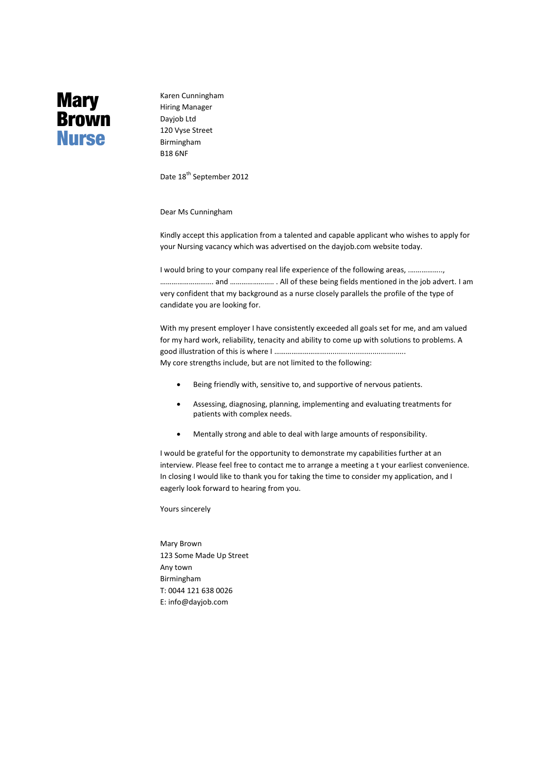## **Mary Brown Nurse**

Karen Cunningham Hiring Manager Dayjob Ltd 120 Vyse Street Birmingham B18 6NF

Date 18<sup>th</sup> September 2012

Dear Ms Cunningham

Kindly accept this application from a talented and capable applicant who wishes to apply for your Nursing vacancy which was advertised on the dayjob.com website today.

I would bring to your company real life experience of the following areas, .…………….., ………………………. and ………………….. . All of these being fields mentioned in the job advert. I am very confident that my background as a nurse closely parallels the profile of the type of candidate you are looking for.

With my present employer I have consistently exceeded all goals set for me, and am valued for my hard work, reliability, tenacity and ability to come up with solutions to problems. A good illustration of this is where I ……………………......................................... My core strengths include, but are not limited to the following:

- Being friendly with, sensitive to, and supportive of nervous patients.
- Assessing, diagnosing, planning, implementing and evaluating treatments for patients with complex needs.
- Mentally strong and able to deal with large amounts of responsibility.

I would be grateful for the opportunity to demonstrate my capabilities further at an interview. Please feel free to contact me to arrange a meeting a t your earliest convenience. In closing I would like to thank you for taking the time to consider my application, and I eagerly look forward to hearing from you.

Yours sincerely

Mary Brown 123 Some Made Up Street Any town Birmingham T: 0044 121 638 0026 E: [info@dayjob.com](mailto:info@dayjob.com)